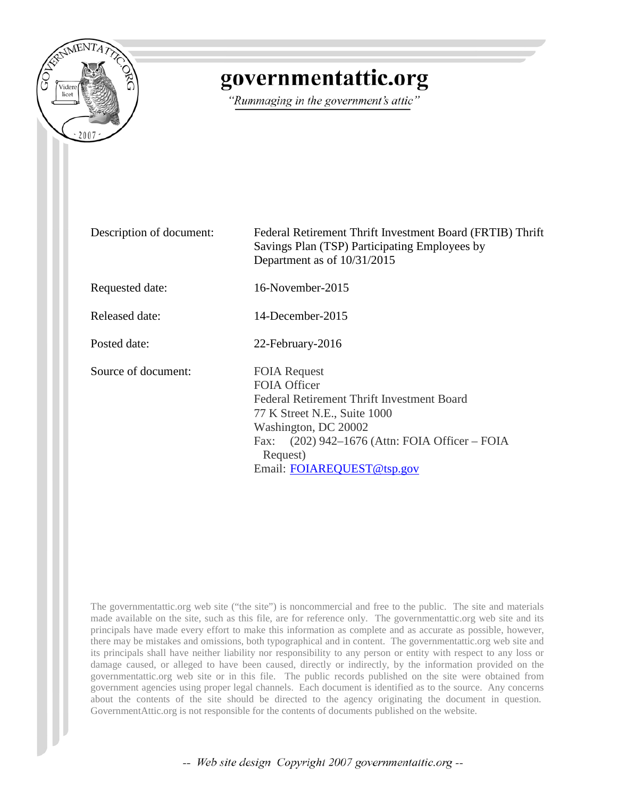

# governmentattic.org

"Rummaging in the government's attic"

Description of document: Federal Retirement Thrift Investment Board (FRTIB) Thrift Savings Plan (TSP) Participating Employees by Department as of 10/31/2015 Requested date: 16-November-2015 Released date: 14-December-2015 Posted date: 22-February-2016 Source of document: FOIA Request FOIA Officer Federal Retirement Thrift Investment Board 77 K Street N.E., Suite 1000 Washington, DC 20002 Fax: (202) 942–1676 (Attn: FOIA Officer – FOIA Request) Email: [FOIAREQUEST@tsp.gov](mailto:FOIAREQUEST@tsp.gov?subject=FOIA%20Request)

The governmentattic.org web site ("the site") is noncommercial and free to the public. The site and materials made available on the site, such as this file, are for reference only. The governmentattic.org web site and its principals have made every effort to make this information as complete and as accurate as possible, however, there may be mistakes and omissions, both typographical and in content. The governmentattic.org web site and its principals shall have neither liability nor responsibility to any person or entity with respect to any loss or damage caused, or alleged to have been caused, directly or indirectly, by the information provided on the governmentattic.org web site or in this file. The public records published on the site were obtained from government agencies using proper legal channels. Each document is identified as to the source. Any concerns about the contents of the site should be directed to the agency originating the document in question. GovernmentAttic.org is not responsible for the contents of documents published on the website.

-- Web site design Copyright 2007 governmentattic.org --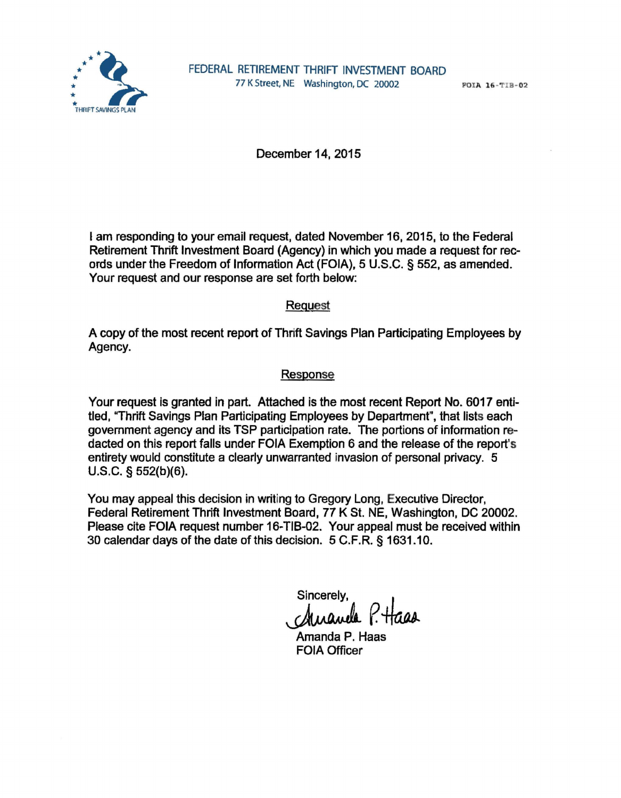

December 14, 2015

I am responding to your email request, dated November 16, 2015, to the Federal Retirement Thrift Investment Board (Agency) in which you made a request for records under the Freedom of Information Act (FOIA), 5 U.S.C. § 552, as amended. Your request and our response are set forth below:

# Request

A copy of the most recent report of Thrift Savings Plan Participating Employees by Agency.

# Response

Your request is granted in part. Attached is the most recent Report No. 6017 entitled, "Thrift Savings Plan Participating Employees by Department", that lists each government agency and its TSP participation rate. The portions of information redacted on this report falls under FOIA Exemption 6 and the release of the report's entirety would constitute a clearly unwarranted invasion of personal privacy. 5 u.s.c. § 552(b)(6).

You may appeal this decision in writing to Gregory Long, Executive Director, Federal Retirement Thrift Investment Board, 77 K St. NE, Washington, DC 20002. Please cite FOIA request number 16-TIB-02. Your appeal must be received within 30 calendar days of the date of this decision. 5 C.F.R. § 1631.10.

sincerely,<br>Alwawela P. H<br>Amanda P. Haas

FOIA Officer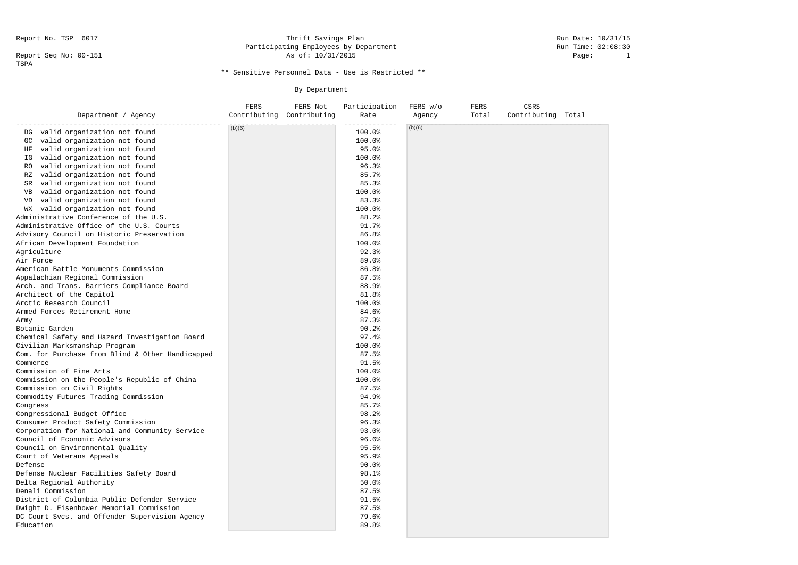# Report No. TSP 6017 Channel Communications of the Thrift Savings Plan Run Date: 10/31/15<br>Participating Employees by Department Channel Run Time: 02:08:30 Participating Employees by Department Run Time: 02:08:30<br>
As of: 10/31/2015<br>
Rage: 1

### \*\* Sensitive Personnel Data - Use is Restricted \*\*

|                                                  | FERS   | FERS Not                  | Participation | FERS w/o                       | FERS  | CSRS               |  |
|--------------------------------------------------|--------|---------------------------|---------------|--------------------------------|-------|--------------------|--|
| Department / Agency                              |        | Contributing Contributing | Rate          | Agency                         | Total | Contributing Total |  |
|                                                  |        |                           |               | $\overline{(b)}\overline{(6)}$ |       |                    |  |
| DG valid organization not found                  | (b)(6) |                           | 100.0%        |                                |       |                    |  |
| GC valid organization not found                  |        |                           | 100.0%        |                                |       |                    |  |
| HF valid organization not found                  |        |                           | 95.0%         |                                |       |                    |  |
| IG valid organization not found                  |        |                           | 100.0%        |                                |       |                    |  |
| RO valid organization not found                  |        |                           | 96.3%         |                                |       |                    |  |
| RZ valid organization not found                  |        |                           | 85.7%         |                                |       |                    |  |
| SR valid organization not found                  |        |                           | 85.3%         |                                |       |                    |  |
| VB valid organization not found                  |        |                           | 100.0%        |                                |       |                    |  |
| VD valid organization not found                  |        |                           | 83.3%         |                                |       |                    |  |
| WX valid organization not found                  |        |                           | 100.0%        |                                |       |                    |  |
| Administrative Conference of the U.S.            |        |                           | 88.2%         |                                |       |                    |  |
| Administrative Office of the U.S. Courts         |        |                           | 91.7%         |                                |       |                    |  |
| Advisory Council on Historic Preservation        |        |                           | 86.8%         |                                |       |                    |  |
| African Development Foundation                   |        |                           | 100.0%        |                                |       |                    |  |
| Agriculture                                      |        |                           | 92.3%         |                                |       |                    |  |
| Air Force                                        |        |                           | 89.0%         |                                |       |                    |  |
| American Battle Monuments Commission             |        |                           | 86.8%         |                                |       |                    |  |
| Appalachian Regional Commission                  |        |                           | 87.5%         |                                |       |                    |  |
| Arch. and Trans. Barriers Compliance Board       |        |                           | 88.9%         |                                |       |                    |  |
| Architect of the Capitol                         |        |                           | 81.8%         |                                |       |                    |  |
| Arctic Research Council                          |        |                           | 100.0%        |                                |       |                    |  |
| Armed Forces Retirement Home                     |        |                           | 84.6%         |                                |       |                    |  |
| Army                                             |        |                           | 87.3%         |                                |       |                    |  |
| Botanic Garden                                   |        |                           | 90.2%         |                                |       |                    |  |
| Chemical Safety and Hazard Investigation Board   |        |                           | 97.4%         |                                |       |                    |  |
| Civilian Marksmanship Program                    |        |                           | 100.0%        |                                |       |                    |  |
| Com. for Purchase from Blind & Other Handicapped |        |                           | 87.5%         |                                |       |                    |  |
| Commerce                                         |        |                           | 91.5%         |                                |       |                    |  |
| Commission of Fine Arts                          |        |                           | 100.0%        |                                |       |                    |  |
| Commission on the People's Republic of China     |        |                           | 100.0%        |                                |       |                    |  |
|                                                  |        |                           |               |                                |       |                    |  |
| Commission on Civil Rights                       |        |                           | 87.5%         |                                |       |                    |  |
| Commodity Futures Trading Commission             |        |                           | 94.9%         |                                |       |                    |  |
| Congress                                         |        |                           | 85.7%         |                                |       |                    |  |
| Congressional Budget Office                      |        |                           | 98.2%         |                                |       |                    |  |
| Consumer Product Safety Commission               |        |                           | 96.3%         |                                |       |                    |  |
| Corporation for National and Community Service   |        |                           | 93.0%         |                                |       |                    |  |
| Council of Economic Advisors                     |        |                           | 96.6%         |                                |       |                    |  |
| Council on Environmental Quality                 |        |                           | 95.5%         |                                |       |                    |  |
| Court of Veterans Appeals                        |        |                           | 95.9%         |                                |       |                    |  |
| Defense                                          |        |                           | 90.0%         |                                |       |                    |  |
| Defense Nuclear Facilities Safety Board          |        |                           | 98.1%         |                                |       |                    |  |
| Delta Regional Authority                         |        |                           | 50.0%         |                                |       |                    |  |
| Denali Commission                                |        |                           | 87.5%         |                                |       |                    |  |
| District of Columbia Public Defender Service     |        |                           | 91.5%         |                                |       |                    |  |
| Dwight D. Eisenhower Memorial Commission         |        |                           | 87.5%         |                                |       |                    |  |
| DC Court Svcs. and Offender Supervision Agency   |        |                           | 79.6%         |                                |       |                    |  |
| Education                                        |        |                           | 89.8%         |                                |       |                    |  |
|                                                  |        |                           |               |                                |       |                    |  |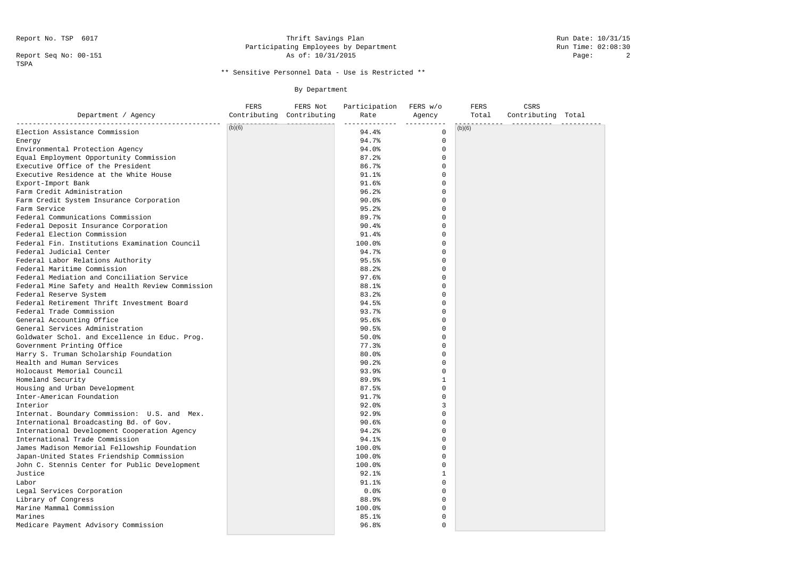# Report No. TSP 6017 Channel Communications of the Thrift Savings Plan Run Date: 10/31/15<br>Participating Employees by Department Channel Run Time: 02:08:30 Participating Employees by Department Run Time: 02:08:30<br>
As of: 10/31/2015 Run Time: 02:08:30

### \*\* Sensitive Personnel Data - Use is Restricted \*\*

|                                                  | FERS                      | FERS Not | Participation | FERS w/o     | FERS   | CSRS               |  |
|--------------------------------------------------|---------------------------|----------|---------------|--------------|--------|--------------------|--|
| Department / Agency                              | Contributing Contributing |          | Rate          | Agency       | Total  | Contributing Total |  |
|                                                  | (b)(6)                    |          |               |              | (b)(6) |                    |  |
| Election Assistance Commission                   |                           |          | 94.4%         | 0            |        |                    |  |
| Energy                                           |                           |          | 94.7%         | $\mathbf 0$  |        |                    |  |
| Environmental Protection Agency                  |                           |          | 94.0%         | $\mathbf 0$  |        |                    |  |
| Equal Employment Opportunity Commission          |                           |          | 87.2%         | $\Omega$     |        |                    |  |
| Executive Office of the President                |                           |          | 86.7%         | $\Omega$     |        |                    |  |
| Executive Residence at the White House           |                           |          | 91.1%         | $\Omega$     |        |                    |  |
| Export-Import Bank                               |                           |          | 91.6%         | $\Omega$     |        |                    |  |
| Farm Credit Administration                       |                           |          | 96.2%         | $\Omega$     |        |                    |  |
| Farm Credit System Insurance Corporation         |                           |          | 90.0%         | $\mathbf 0$  |        |                    |  |
| Farm Service                                     |                           |          | 95.2%         | $\Omega$     |        |                    |  |
| Federal Communications Commission                |                           |          | 89.7%         | $\Omega$     |        |                    |  |
| Federal Deposit Insurance Corporation            |                           |          | 90.4%         | $\Omega$     |        |                    |  |
| Federal Election Commission                      |                           |          | 91.4%         | $\Omega$     |        |                    |  |
| Federal Fin. Institutions Examination Council    |                           |          | 100.0%        | $\Omega$     |        |                    |  |
| Federal Judicial Center                          |                           |          | 94.7%         | $\Omega$     |        |                    |  |
| Federal Labor Relations Authority                |                           |          | 95.5%         | $\Omega$     |        |                    |  |
| Federal Maritime Commission                      |                           |          | 88.2%         | $\Omega$     |        |                    |  |
| Federal Mediation and Conciliation Service       |                           |          | 97.6%         | $\Omega$     |        |                    |  |
| Federal Mine Safety and Health Review Commission |                           |          | 88.1%         | $\Omega$     |        |                    |  |
| Federal Reserve System                           |                           |          | 83.2%         | $\Omega$     |        |                    |  |
| Federal Retirement Thrift Investment Board       |                           |          | 94.5%         | $\Omega$     |        |                    |  |
| Federal Trade Commission                         |                           |          | 93.7%         | $\Omega$     |        |                    |  |
| General Accounting Office                        |                           |          | 95.6%         | $\Omega$     |        |                    |  |
| General Services Administration                  |                           |          | 90.5%         | $\Omega$     |        |                    |  |
| Goldwater Schol. and Excellence in Educ. Prog.   |                           |          | 50.0%         | $\Omega$     |        |                    |  |
| Government Printing Office                       |                           |          | 77.3%         | $\Omega$     |        |                    |  |
| Harry S. Truman Scholarship Foundation           |                           |          | 80.0%         | $\Omega$     |        |                    |  |
| Health and Human Services                        |                           |          | 90.2%         | $\Omega$     |        |                    |  |
| Holocaust Memorial Council                       |                           |          | 93.9%         | $\Omega$     |        |                    |  |
| Homeland Security                                |                           |          | 89.9%         | $\mathbf{1}$ |        |                    |  |
| Housing and Urban Development                    |                           |          | 87.5%         | $\Omega$     |        |                    |  |
| Inter-American Foundation                        |                           |          | 91.7%         | $\Omega$     |        |                    |  |
| Interior                                         |                           |          | 92.0%         | 3            |        |                    |  |
| Internat. Boundary Commission: U.S. and Mex.     |                           |          | 92.9%         | $\Omega$     |        |                    |  |
| International Broadcasting Bd. of Gov.           |                           |          | 90.6%         | $\Omega$     |        |                    |  |
| International Development Cooperation Agency     |                           |          | 94.2%         | $\Omega$     |        |                    |  |
| International Trade Commission                   |                           |          | 94.1%         | $\Omega$     |        |                    |  |
| James Madison Memorial Fellowship Foundation     |                           |          | 100.0%        | $\Omega$     |        |                    |  |
| Japan-United States Friendship Commission        |                           |          | 100.0%        | $\Omega$     |        |                    |  |
| John C. Stennis Center for Public Development    |                           |          | 100.0%        | $\Omega$     |        |                    |  |
| Justice                                          |                           |          | 92.1%         | $\mathbf{1}$ |        |                    |  |
| Labor                                            |                           |          | 91.1%         | $\Omega$     |        |                    |  |
| Legal Services Corporation                       |                           |          | 0.0%          | $\Omega$     |        |                    |  |
| Library of Congress                              |                           |          | 88.9%         | $\Omega$     |        |                    |  |
| Marine Mammal Commission                         |                           |          | 100.0%        | $\Omega$     |        |                    |  |
| Marines                                          |                           |          | 85.1%         | $\Omega$     |        |                    |  |
| Medicare Payment Advisory Commission             |                           |          | 96.8%         | $\Omega$     |        |                    |  |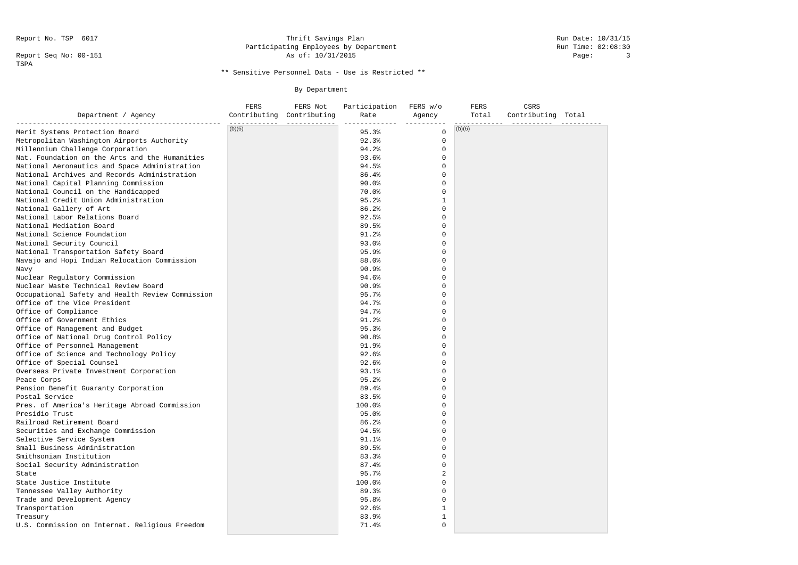# Report No. TSP 6017 Channel Communications of the Thrift Savings Plan Run Date: 10/31/15<br>Participating Employees by Department Channel Run Time: 02:08:30 Participating Employees by Department Run Time: 02:08:30<br>
As of: 10/31/2015 Page: 3

### \*\* Sensitive Personnel Data - Use is Restricted \*\*

|                                                  | FERS                      | FERS Not            | Participation | FERS w/o       | FERS   | CSRS               |  |
|--------------------------------------------------|---------------------------|---------------------|---------------|----------------|--------|--------------------|--|
| Department / Agency                              | Contributing Contributing |                     | Rate          | Agency         | Total  | Contributing Total |  |
| -------------------                              | (b)(6)                    | $- - - - - - - - -$ |               |                | (b)(6) |                    |  |
| Merit Systems Protection Board                   |                           |                     | 95.3%         | $\Omega$       |        |                    |  |
| Metropolitan Washington Airports Authority       |                           |                     | 92.3%         | $\mathbf 0$    |        |                    |  |
| Millennium Challenge Corporation                 |                           |                     | 94.2%         | $\mathbf 0$    |        |                    |  |
| Nat. Foundation on the Arts and the Humanities   |                           |                     | 93.6%         | $\mathbf 0$    |        |                    |  |
| National Aeronautics and Space Administration    |                           |                     | 94.5%         | $\Omega$       |        |                    |  |
| National Archives and Records Administration     |                           |                     | 86.4%         | $\Omega$       |        |                    |  |
| National Capital Planning Commission             |                           |                     | 90.0%         | $\Omega$       |        |                    |  |
| National Council on the Handicapped              |                           |                     | 70.0%         | $\mathbf 0$    |        |                    |  |
| National Credit Union Administration             |                           |                     | 95.2%         | $\mathbf{1}$   |        |                    |  |
| National Gallery of Art                          |                           |                     | 86.2%         | $\Omega$       |        |                    |  |
| National Labor Relations Board                   |                           |                     | 92.5%         | $\Omega$       |        |                    |  |
| National Mediation Board                         |                           |                     | 89.5%         | $\Omega$       |        |                    |  |
| National Science Foundation                      |                           |                     | 91.2%         | $\mathbf 0$    |        |                    |  |
| National Security Council                        |                           |                     | 93.0%         | $\Omega$       |        |                    |  |
| National Transportation Safety Board             |                           |                     | 95.9%         | $\Omega$       |        |                    |  |
| Navajo and Hopi Indian Relocation Commission     |                           |                     | 88.0%         | $\Omega$       |        |                    |  |
| Navy                                             |                           |                     | 90.9%         | $\Omega$       |        |                    |  |
| Nuclear Regulatory Commission                    |                           |                     | 94.6%         | $\Omega$       |        |                    |  |
| Nuclear Waste Technical Review Board             |                           |                     | 90.9%         | $\Omega$       |        |                    |  |
| Occupational Safety and Health Review Commission |                           |                     | 95.7%         | $\Omega$       |        |                    |  |
| Office of the Vice President                     |                           |                     | 94.7%         | $\Omega$       |        |                    |  |
| Office of Compliance                             |                           |                     | 94.7%         | $\Omega$       |        |                    |  |
| Office of Government Ethics                      |                           |                     | 91.2%         | $\mathbf 0$    |        |                    |  |
| Office of Management and Budget                  |                           |                     | 95.3%         | $\mathbf 0$    |        |                    |  |
| Office of National Drug Control Policy           |                           |                     | 90.8%         | $\Omega$       |        |                    |  |
| Office of Personnel Management                   |                           |                     | 91.9%         | $\Omega$       |        |                    |  |
| Office of Science and Technology Policy          |                           |                     | 92.6%         | $\Omega$       |        |                    |  |
| Office of Special Counsel                        |                           |                     | 92.6%         | $\mathbf 0$    |        |                    |  |
| Overseas Private Investment Corporation          |                           |                     | 93.1%         | $\mathbf 0$    |        |                    |  |
| Peace Corps                                      |                           |                     | 95.2%         | $\mathbf 0$    |        |                    |  |
| Pension Benefit Guaranty Corporation             |                           |                     | 89.4%         | $\Omega$       |        |                    |  |
| Postal Service                                   |                           |                     | 83.5%         | $\Omega$       |        |                    |  |
| Pres. of America's Heritage Abroad Commission    |                           |                     | 100.0%        | $\mathbf 0$    |        |                    |  |
| Presidio Trust                                   |                           |                     | 95.0%         | $\mathbf 0$    |        |                    |  |
| Railroad Retirement Board                        |                           |                     | 86.2%         | $\mathbf 0$    |        |                    |  |
| Securities and Exchange Commission               |                           |                     | 94.5%         | $\Omega$       |        |                    |  |
| Selective Service System                         |                           |                     | 91.1%         | $\Omega$       |        |                    |  |
| Small Business Administration                    |                           |                     | 89.5%         | $\mathbf 0$    |        |                    |  |
| Smithsonian Institution                          |                           |                     | 83.3%         | $\mathbf 0$    |        |                    |  |
| Social Security Administration                   |                           |                     | 87.4%         | $\Omega$       |        |                    |  |
| State                                            |                           |                     | 95.7%         | $\overline{a}$ |        |                    |  |
| State Justice Institute                          |                           |                     | 100.0%        | $\Omega$       |        |                    |  |
| Tennessee Valley Authority                       |                           |                     | 89.3%         | $\mathbf 0$    |        |                    |  |
| Trade and Development Agency                     |                           |                     | 95.8%         | $\mathbf 0$    |        |                    |  |
| Transportation                                   |                           |                     | 92.6%         | $\mathbf{1}$   |        |                    |  |
| Treasury                                         |                           |                     | 83.9%         | $\mathbf{1}$   |        |                    |  |
| U.S. Commission on Internat. Religious Freedom   |                           |                     | 71.4%         | $\Omega$       |        |                    |  |
|                                                  |                           |                     |               |                |        |                    |  |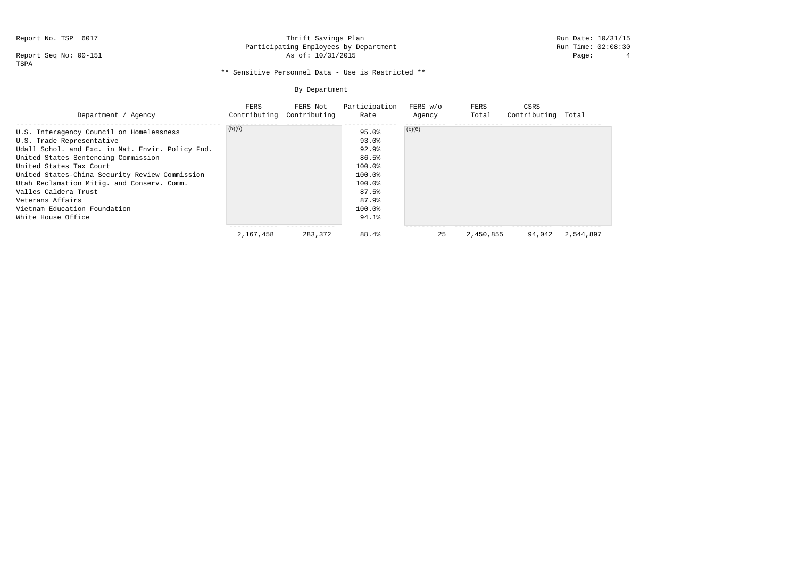# Report No. TSP 6017 Channel Communications of the Thrift Savings Plan Run Date: 10/31/15<br>Participating Employees by Department Channel Run Time: 02:08:30 Participating Employees by Department Run Time: 02:08:30<br>As of: 10/31/2015 Run Time: 02:08:30

### \*\* Sensitive Personnel Data - Use is Restricted \*\*

|                                                  | FERS         | FERS Not     | Participation | FERS w/o | FERS      | CSRS               |           |
|--------------------------------------------------|--------------|--------------|---------------|----------|-----------|--------------------|-----------|
| Department / Agency                              | Contributing | Contributing | Rate          | Agency   | Total     | Contributing Total |           |
| U.S. Interagency Council on Homelessness         | (b)(6)       |              | 95.0%         | (b)(6)   |           |                    |           |
| U.S. Trade Representative                        |              |              | 93.0%         |          |           |                    |           |
| Udall Schol. and Exc. in Nat. Envir. Policy Fnd. |              |              | 92.9%         |          |           |                    |           |
| United States Sentencing Commission              |              |              | 86.5%         |          |           |                    |           |
| United States Tax Court                          |              |              | 100.0%        |          |           |                    |           |
| United States-China Security Review Commission   |              |              | 100.0%        |          |           |                    |           |
| Utah Reclamation Mitig, and Conserv. Comm.       |              |              | 100.0%        |          |           |                    |           |
| Valles Caldera Trust                             |              |              | 87.5%         |          |           |                    |           |
| Veterans Affairs                                 |              |              | 87.9%         |          |           |                    |           |
| Vietnam Education Foundation                     |              |              | 100.0%        |          |           |                    |           |
| White House Office                               |              |              | 94.1%         |          |           |                    |           |
|                                                  |              |              |               |          |           |                    |           |
|                                                  | 2,167,458    | 283,372      | 88.4%         | 25       | 2,450,855 | 94,042             | 2,544,897 |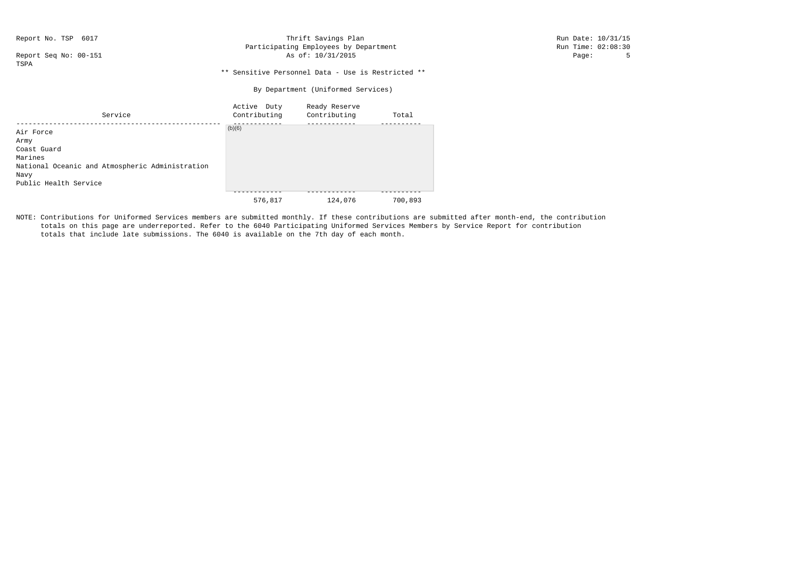| Report No. TSP 6017<br>Report Seq No: 00-151                                                                                    |                             | Thrift Savings Plan<br>Participating Employees by Department<br>As of: 10/31/2015 |            | Run Date: 10/31/15<br>Run Time: 02:08:30<br>Page: |
|---------------------------------------------------------------------------------------------------------------------------------|-----------------------------|-----------------------------------------------------------------------------------|------------|---------------------------------------------------|
| TSPA                                                                                                                            |                             | ** Sensitive Personnel Data - Use is Restricted **                                |            |                                                   |
|                                                                                                                                 |                             | By Department (Uniformed Services)                                                |            |                                                   |
| Service                                                                                                                         | Active Duty<br>Contributing | Ready Reserve<br>Contributing                                                     | Total      |                                                   |
| Air Force<br>Army<br>Coast Guard<br>Marines<br>National Oceanic and Atmospheric Administration<br>Navy<br>Public Health Service | (b)(6)                      |                                                                                   | ---------- |                                                   |
|                                                                                                                                 | 576,817                     | 124,076                                                                           | 700,893    |                                                   |

NOTE: Contributions for Uniformed Services members are submitted monthly. If these contributions are submitted after month-end, the contribution totals on this page are underreported. Refer to the 6040 Participating Uniformed Services Members by Service Report for contribution totals that include late submissions. The 6040 is available on the 7th day of each month.